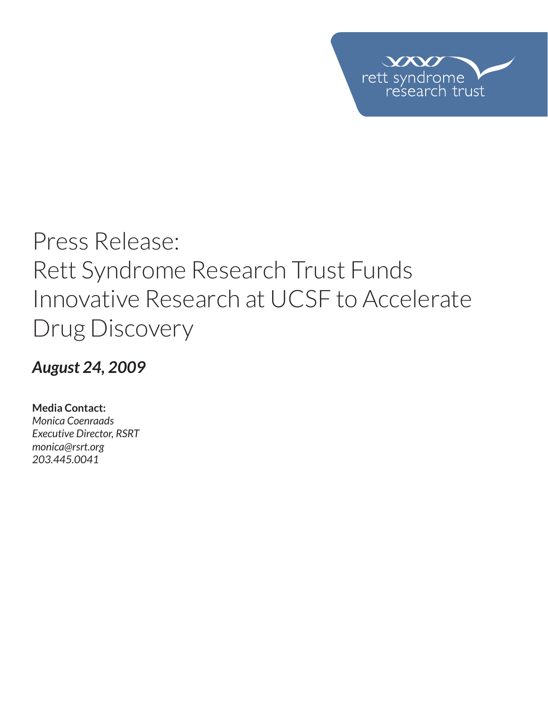

# Press Release: Rett Syndrome Research Trust Funds Innovative Research at UCSF to Accelerate Drug Discovery

*August 24, 2009*

**Media Contact:**  *Monica Coenraads Executive Director, RSRT monica@rsrt.org 203.445.0041*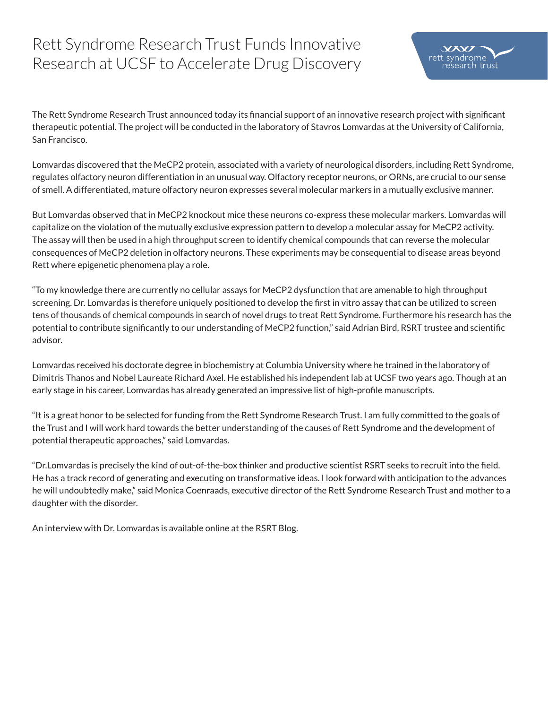## Rett Syndrome Research Trust Funds Innovative Research at UCSF to Accelerate Drug Discovery

The Rett Syndrome Research Trust announced today its financial support of an innovative research project with significant therapeutic potential. The project will be conducted in the laboratory of Stavros Lomvardas at the University of California, San Francisco.

Lomvardas discovered that the MeCP2 protein, associated with a variety of neurological disorders, including Rett Syndrome, regulates olfactory neuron differentiation in an unusual way. Olfactory receptor neurons, or ORNs, are crucial to our sense of smell. A differentiated, mature olfactory neuron expresses several molecular markers in a mutually exclusive manner.

But Lomvardas observed that in MeCP2 knockout mice these neurons co-express these molecular markers. Lomvardas will capitalize on the violation of the mutually exclusive expression pattern to develop a molecular assay for MeCP2 activity. The assay will then be used in a high throughput screen to identify chemical compounds that can reverse the molecular consequences of MeCP2 deletion in olfactory neurons. These experiments may be consequential to disease areas beyond Rett where epigenetic phenomena play a role.

"To my knowledge there are currently no cellular assays for MeCP2 dysfunction that are amenable to high throughput screening. Dr. Lomvardas is therefore uniquely positioned to develop the first in vitro assay that can be utilized to screen tens of thousands of chemical compounds in search of novel drugs to treat Rett Syndrome. Furthermore his research has the potential to contribute significantly to our understanding of MeCP2 function," said Adrian Bird, RSRT trustee and scientific advisor.

Lomvardas received his doctorate degree in biochemistry at Columbia University where he trained in the laboratory of Dimitris Thanos and Nobel Laureate Richard Axel. He established his independent lab at UCSF two years ago. Though at an early stage in his career, Lomvardas has already generated an impressive list of high-profile manuscripts.

"It is a great honor to be selected for funding from the Rett Syndrome Research Trust. I am fully committed to the goals of the Trust and I will work hard towards the better understanding of the causes of Rett Syndrome and the development of potential therapeutic approaches," said Lomvardas.

"Dr.Lomvardas is precisely the kind of out-of-the-box thinker and productive scientist RSRT seeks to recruit into the field. He has a track record of generating and executing on transformative ideas. I look forward with anticipation to the advances he will undoubtedly make," said Monica Coenraads, executive director of the Rett Syndrome Research Trust and mother to a daughter with the disorder.

An interview with Dr. Lomvardas is available online at the RSRT Blog.